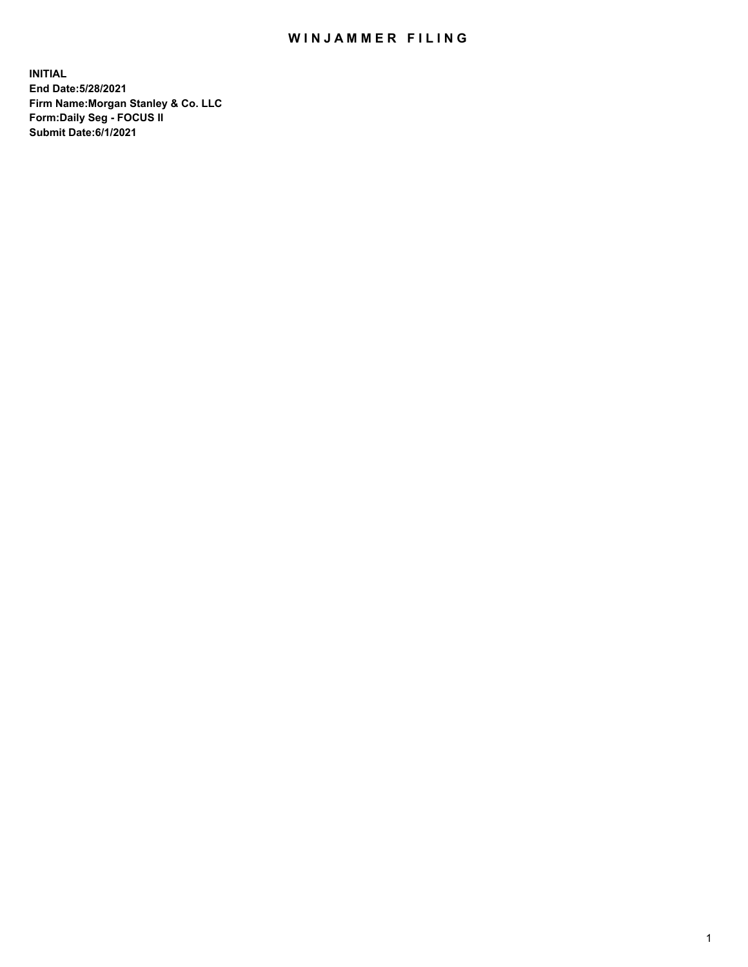## WIN JAMMER FILING

**INITIAL End Date:5/28/2021 Firm Name:Morgan Stanley & Co. LLC Form:Daily Seg - FOCUS II Submit Date:6/1/2021**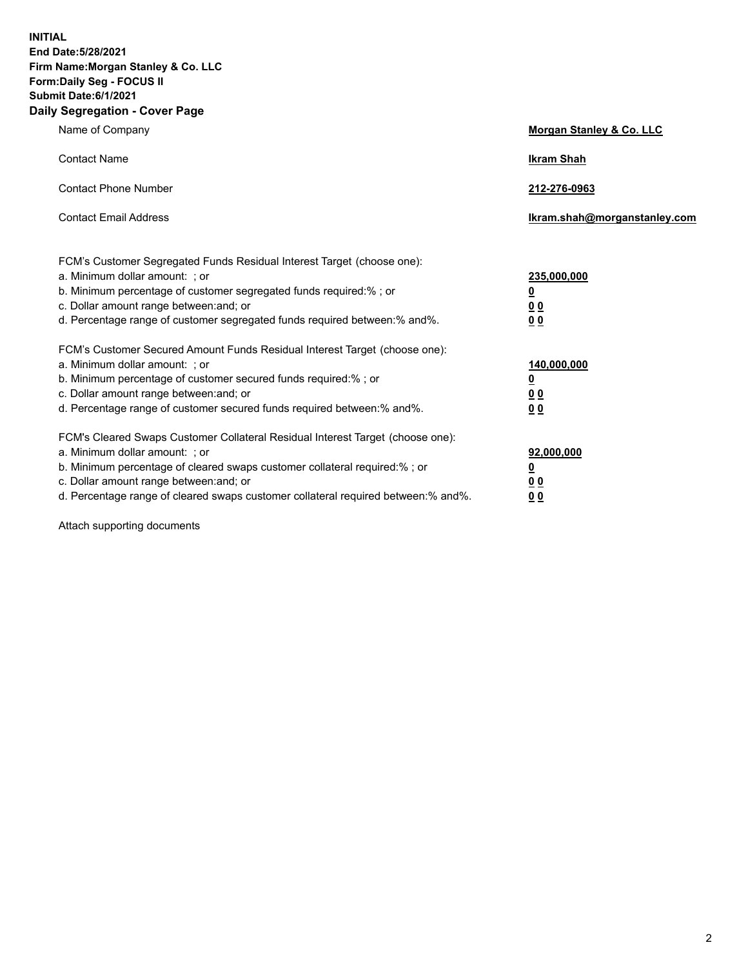**INITIAL End Date:5/28/2021 Firm Name:Morgan Stanley & Co. LLC Form:Daily Seg - FOCUS II Submit Date:6/1/2021 Daily Segregation - Cover Page**

| Name of Company                                                                                                                                                                                                                                                                                                                | Morgan Stanley & Co. LLC                                    |
|--------------------------------------------------------------------------------------------------------------------------------------------------------------------------------------------------------------------------------------------------------------------------------------------------------------------------------|-------------------------------------------------------------|
| <b>Contact Name</b>                                                                                                                                                                                                                                                                                                            | <b>Ikram Shah</b>                                           |
| <b>Contact Phone Number</b>                                                                                                                                                                                                                                                                                                    | 212-276-0963                                                |
| <b>Contact Email Address</b>                                                                                                                                                                                                                                                                                                   | lkram.shah@morganstanley.com                                |
| FCM's Customer Segregated Funds Residual Interest Target (choose one):<br>a. Minimum dollar amount: ; or<br>b. Minimum percentage of customer segregated funds required:% ; or<br>c. Dollar amount range between: and; or<br>d. Percentage range of customer segregated funds required between:% and%.                         | 235,000,000<br><u>0</u><br>0 <sup>0</sup><br>00             |
| FCM's Customer Secured Amount Funds Residual Interest Target (choose one):<br>a. Minimum dollar amount: : or<br>b. Minimum percentage of customer secured funds required:%; or<br>c. Dollar amount range between: and; or<br>d. Percentage range of customer secured funds required between: % and %.                          | 140,000,000<br><u>0</u><br>0 <sub>0</sub><br>0 <sub>0</sub> |
| FCM's Cleared Swaps Customer Collateral Residual Interest Target (choose one):<br>a. Minimum dollar amount: ; or<br>b. Minimum percentage of cleared swaps customer collateral required:% ; or<br>c. Dollar amount range between: and; or<br>d. Percentage range of cleared swaps customer collateral required between:% and%. | 92,000,000<br><u>0</u><br><u>00</u><br>00                   |

Attach supporting documents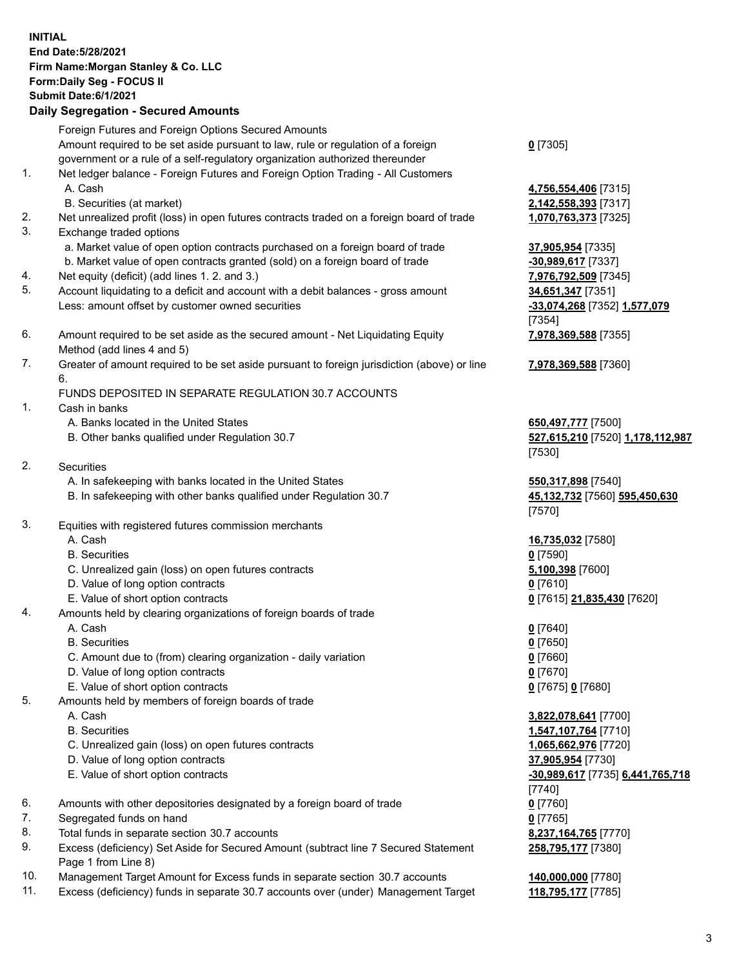| <b>INITIAL</b> | End Date: 5/28/2021<br>Firm Name: Morgan Stanley & Co. LLC<br>Form: Daily Seg - FOCUS II<br>Submit Date: 6/1/2021<br><b>Daily Segregation - Secured Amounts</b>  |                                                                  |
|----------------|------------------------------------------------------------------------------------------------------------------------------------------------------------------|------------------------------------------------------------------|
|                | Foreign Futures and Foreign Options Secured Amounts                                                                                                              |                                                                  |
|                | Amount required to be set aside pursuant to law, rule or regulation of a foreign<br>government or a rule of a self-regulatory organization authorized thereunder | $0$ [7305]                                                       |
| $\mathbf{1}$ . | Net ledger balance - Foreign Futures and Foreign Option Trading - All Customers<br>A. Cash                                                                       | 4,756,554,406 [7315]                                             |
| 2.<br>3.       | B. Securities (at market)<br>Net unrealized profit (loss) in open futures contracts traded on a foreign board of trade<br>Exchange traded options                | 2,142,558,393 [7317]<br>1,070,763,373 [7325]                     |
|                | a. Market value of open option contracts purchased on a foreign board of trade                                                                                   | 37,905,954 [7335]                                                |
| 4.             | b. Market value of open contracts granted (sold) on a foreign board of trade<br>Net equity (deficit) (add lines 1. 2. and 3.)                                    | -30,989,617 [7337]<br>7,976,792,509 [7345]                       |
| 5.             | Account liquidating to a deficit and account with a debit balances - gross amount                                                                                | 34,651,347 [7351]                                                |
|                | Less: amount offset by customer owned securities                                                                                                                 | -33,074,268 [7352] 1,577,079<br>[7354]                           |
| 6.             | Amount required to be set aside as the secured amount - Net Liquidating Equity<br>Method (add lines 4 and 5)                                                     | 7,978,369,588 [7355]                                             |
| 7.             | Greater of amount required to be set aside pursuant to foreign jurisdiction (above) or line<br>6.                                                                | 7,978,369,588 [7360]                                             |
| 1.             | FUNDS DEPOSITED IN SEPARATE REGULATION 30.7 ACCOUNTS<br>Cash in banks                                                                                            |                                                                  |
|                | A. Banks located in the United States<br>B. Other banks qualified under Regulation 30.7                                                                          | 650,497,777 [7500]<br>527,615,210 [7520] 1,178,112,987<br>[7530] |
| 2.             | <b>Securities</b>                                                                                                                                                |                                                                  |
|                | A. In safekeeping with banks located in the United States<br>B. In safekeeping with other banks qualified under Regulation 30.7                                  | 550, 317, 898 [7540]<br>45,132,732 [7560] 595,450,630<br>[7570]  |
| 3.             | Equities with registered futures commission merchants                                                                                                            |                                                                  |
|                | A. Cash                                                                                                                                                          | 16,735,032 [7580]                                                |
|                | <b>B.</b> Securities                                                                                                                                             | $0$ [7590]                                                       |
|                | C. Unrealized gain (loss) on open futures contracts<br>D. Value of long option contracts                                                                         | 5,100,398 [7600]                                                 |
|                | E. Value of short option contracts                                                                                                                               | $0$ [7610]<br>0 [7615] 21,835,430 [7620]                         |
| 4.             | Amounts held by clearing organizations of foreign boards of trade                                                                                                |                                                                  |
|                | A. Cash                                                                                                                                                          | $0$ [7640]                                                       |
|                | <b>B.</b> Securities                                                                                                                                             | $0$ [7650]                                                       |
|                | C. Amount due to (from) clearing organization - daily variation                                                                                                  | $0$ [7660]                                                       |
|                | D. Value of long option contracts                                                                                                                                | 0 [7670]                                                         |
| 5.             | E. Value of short option contracts<br>Amounts held by members of foreign boards of trade                                                                         | 0 [7675] 0 [7680]                                                |
|                | A. Cash                                                                                                                                                          | 3,822,078,641 [7700]                                             |
|                | <b>B.</b> Securities                                                                                                                                             | 1,547,107,764 [7710]                                             |
|                | C. Unrealized gain (loss) on open futures contracts                                                                                                              | 1,065,662,976 [7720]                                             |
|                | D. Value of long option contracts                                                                                                                                | 37,905,954 [7730]                                                |
|                | E. Value of short option contracts                                                                                                                               | -30,989,617 [7735] 6,441,765,718<br>$[7740]$                     |
| 6.             | Amounts with other depositories designated by a foreign board of trade                                                                                           | $0$ [7760]                                                       |
| 7.             | Segregated funds on hand                                                                                                                                         | $0$ [7765]                                                       |
| 8.             | Total funds in separate section 30.7 accounts                                                                                                                    | 8,237,164,765 [7770]                                             |
| 9.             | Excess (deficiency) Set Aside for Secured Amount (subtract line 7 Secured Statement<br>Page 1 from Line 8)                                                       | 258,795,177 [7380]                                               |

- 
- 10. Management Target Amount for Excess funds in separate section 30.7 accounts **140,000,000** [7780] 11. Excess (deficiency) funds in separate 30.7 accounts over (under) Management Target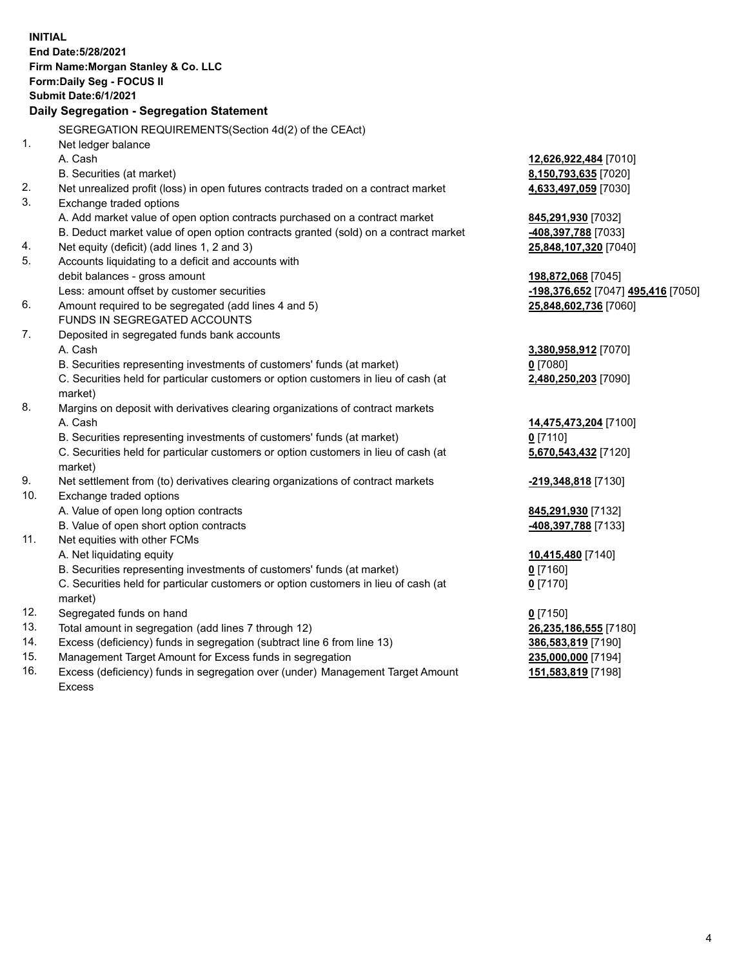|     | <b>INITIAL</b><br>End Date: 5/28/2021<br>Firm Name: Morgan Stanley & Co. LLC<br>Form: Daily Seg - FOCUS II<br>Submit Date: 6/1/2021 |                                    |
|-----|-------------------------------------------------------------------------------------------------------------------------------------|------------------------------------|
|     | Daily Segregation - Segregation Statement                                                                                           |                                    |
|     | SEGREGATION REQUIREMENTS(Section 4d(2) of the CEAct)                                                                                |                                    |
| 1.  | Net ledger balance                                                                                                                  |                                    |
|     | A. Cash                                                                                                                             | 12,626,922,484 [7010]              |
|     | B. Securities (at market)                                                                                                           | 8,150,793,635 [7020]               |
| 2.  | Net unrealized profit (loss) in open futures contracts traded on a contract market                                                  | 4,633,497,059 [7030]               |
| 3.  | Exchange traded options                                                                                                             |                                    |
|     | A. Add market value of open option contracts purchased on a contract market                                                         | 845,291,930 [7032]                 |
|     | B. Deduct market value of open option contracts granted (sold) on a contract market                                                 | 408,397,788 [7033]                 |
| 4.  | Net equity (deficit) (add lines 1, 2 and 3)                                                                                         | 25,848,107,320 [7040]              |
| 5.  | Accounts liquidating to a deficit and accounts with                                                                                 |                                    |
|     | debit balances - gross amount                                                                                                       | 198,872,068 [7045]                 |
| 6.  | Less: amount offset by customer securities<br>Amount required to be segregated (add lines 4 and 5)                                  | -198,376,652 [7047] 495,416 [7050] |
|     | FUNDS IN SEGREGATED ACCOUNTS                                                                                                        | 25,848,602,736 [7060]              |
| 7.  | Deposited in segregated funds bank accounts                                                                                         |                                    |
|     | A. Cash                                                                                                                             | 3,380,958,912 [7070]               |
|     | B. Securities representing investments of customers' funds (at market)                                                              | $0$ [7080]                         |
|     | C. Securities held for particular customers or option customers in lieu of cash (at                                                 | 2,480,250,203 [7090]               |
|     | market)                                                                                                                             |                                    |
| 8.  | Margins on deposit with derivatives clearing organizations of contract markets                                                      |                                    |
|     | A. Cash                                                                                                                             | 14,475,473,204 [7100]              |
|     | B. Securities representing investments of customers' funds (at market)                                                              | $0$ [7110]                         |
|     | C. Securities held for particular customers or option customers in lieu of cash (at                                                 | 5,670,543,432 [7120]               |
|     | market)                                                                                                                             |                                    |
| 9.  | Net settlement from (to) derivatives clearing organizations of contract markets                                                     | -219,348,818 [7130]                |
| 10. | Exchange traded options                                                                                                             |                                    |
|     | A. Value of open long option contracts                                                                                              | 845,291,930 [7132]                 |
|     | B. Value of open short option contracts                                                                                             | <u>-408,397,788</u> [7133]         |
| 11. | Net equities with other FCMs                                                                                                        |                                    |
|     | A. Net liquidating equity                                                                                                           | 10,415,480 [7140]                  |
|     | B. Securities representing investments of customers' funds (at market)                                                              | 0 <sup>[7160]</sup>                |
|     | C. Securities held for particular customers or option customers in lieu of cash (at                                                 | $0$ [7170]                         |
|     | market)                                                                                                                             |                                    |
| 12. | Segregated funds on hand                                                                                                            | $0$ [7150]                         |
| 13. | Total amount in segregation (add lines 7 through 12)                                                                                | 26,235,186,555 [7180]              |
| 14. | Excess (deficiency) funds in segregation (subtract line 6 from line 13)                                                             | 386,583,819 [7190]                 |
| 15. | Management Target Amount for Excess funds in segregation                                                                            | 235,000,000 [7194]                 |
| 16. | Excess (deficiency) funds in segregation over (under) Management Target Amount                                                      | 151,583,819 [7198]                 |

16. Excess (deficiency) funds in segregation over (under) Management Target Amount Excess